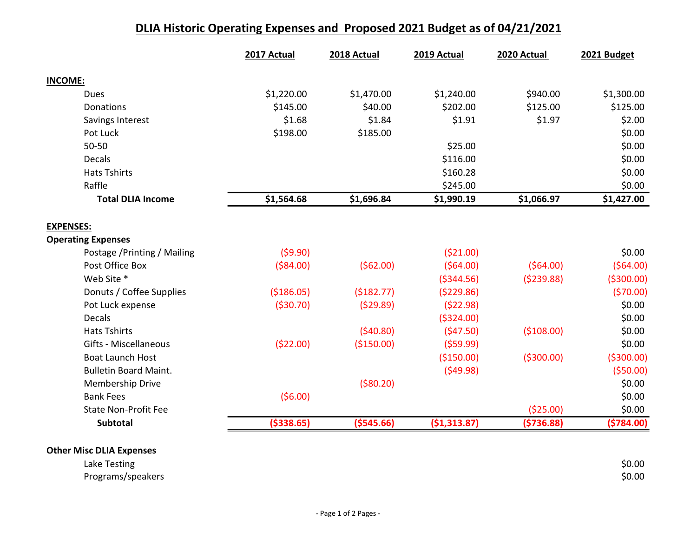## DLIA Historic Operating Expenses and Proposed 2021 Budget as of 04/21/2021

|                              | 2017 Actual | 2018 Actual | 2019 Actual  | 2020 Actual | 2021 Budget |
|------------------------------|-------------|-------------|--------------|-------------|-------------|
| <b>INCOME:</b>               |             |             |              |             |             |
| <b>Dues</b>                  | \$1,220.00  | \$1,470.00  | \$1,240.00   | \$940.00    | \$1,300.00  |
| <b>Donations</b>             | \$145.00    | \$40.00     | \$202.00     | \$125.00    | \$125.00    |
| Savings Interest             | \$1.68      | \$1.84      | \$1.91       | \$1.97      | \$2.00      |
| Pot Luck                     | \$198.00    | \$185.00    |              |             | \$0.00      |
| $50 - 50$                    |             |             | \$25.00      |             | \$0.00      |
| <b>Decals</b>                |             |             | \$116.00     |             | \$0.00      |
| <b>Hats Tshirts</b>          |             |             | \$160.28     |             | \$0.00      |
| Raffle                       |             |             | \$245.00     |             | \$0.00      |
| <b>Total DLIA Income</b>     | \$1,564.68  | \$1,696.84  | \$1,990.19   | \$1,066.97  | \$1,427.00  |
| <b>EXPENSES:</b>             |             |             |              |             |             |
| <b>Operating Expenses</b>    |             |             |              |             |             |
| Postage / Printing / Mailing | (59.90)     |             | (\$21.00)    |             | \$0.00      |
| Post Office Box              | ( \$84.00)  | (562.00)    | (564.00)     | (564.00)    | (564.00)    |
| Web Site *                   |             |             | ( \$344.56)  | (5239.88)   | ( \$300.00) |
| Donuts / Coffee Supplies     | (\$186.05)  | (\$182.77)  | (5229.86)    |             | (570.00)    |
| Pot Luck expense             | ( \$30.70)  | (529.89)    | (522.98)     |             | \$0.00      |
| <b>Decals</b>                |             |             | ( \$324.00)  |             | \$0.00      |
| <b>Hats Tshirts</b>          |             | (540.80)    | (547.50)     | (\$108.00)  | \$0.00      |
| Gifts - Miscellaneous        | (\$22.00)   | (\$150.00)  | (559.99)     |             | \$0.00      |
| <b>Boat Launch Host</b>      |             |             | (\$150.00)   | ( \$300.00) | ( \$300.00) |
| <b>Bulletin Board Maint.</b> |             |             | (549.98)     |             | (550.00)    |
| Membership Drive             |             | ( \$80.20)  |              |             | \$0.00      |
| <b>Bank Fees</b>             | (56.00)     |             |              |             | \$0.00      |
| <b>State Non-Profit Fee</b>  |             |             |              | (\$25.00)   | \$0.00      |
| <b>Subtotal</b>              | ( \$338.65) | ( \$545.66) | (\$1,313.87) | ( \$736.88) | (5784.00)   |

## Other Misc DLIA Expenses

Lake Testing \$0.00 Programs/speakers \$0.00